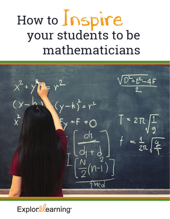# How to Inspire your students to be mathematicians

 $\frac{D-16-4F}{2}$  $\frac{2}{x}$  $\vert$  = 2 $\pi$  $=\frac{1}{2\pi}$ Med

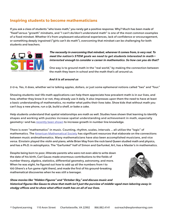## **Inspiring students to become mathematicians**

If you ask a class of students "who loves math," you rarely get a positive response. Why? Much has been made of "fi xed"versus "growth" mindsets, and "I can't do/don't understand math" is one of the most common examples of a fixed mindset. Whether it's from unpleasant educational experiences, lack of confidence or encouragement, or something deeply ingrained ("girls can't do math"), overcoming that mindset can be challenging for both students and teachers.



**The necessity in overcoming that mindset, wherever it comes from, is very real. To meet the nation's STEM goals we need to get students interested in math interested enough to consider a career in mathematics. So how can you do that?**

One way is to ground math in the "real world," by making the connection between the math they learn in school and the math that's all around us.

#### **And it is all around us**

2+2=4. Yes, it does, whether we're talking apples, dollars, or just some ephemeral notions called "two" and "four."

Showing students real-life math applications can help them appreciate how prevalent math is in our lives, and how, whether they know it or not, they already use it daily. It also impresses upon them the need to have at least a basic understanding of mathematics, no matter what paths their lives take. Show kids that without math you can't buy a new phone, run a 5k, build a shelf, or bake a cake.

Help students understand that spatial relationships are math as well. Studies have shown that learning to identify shapes and working with puzzles increase spatial understanding and achievement in math, especially geometry—and has [recently been shown](https://news.uchicago.edu/story/learning-about-spatial-relationships-boosts-understanding-numbers) to increase growth in number line knowledge.

There is even "mathematics" in music. Counting, rhythm, scales, intervals … all utilize the "logic" of mathematics. The [American Mathematical Society](http://www.ams.org/publicoutreach/math-and-music) has significant resources that elaborate on the connections between music andmathematics. Many mathematicians have also been accomplished musicians, and vice versa. Einstein played the violin and piano, while Brian May from the rock band Queen studied math and physics, and has a Ph.D. in astrophysics. The "Garfunkel" half of Simon and Garfunkel, Art, has a Master's in mathematics.

Despite being born to poor, illiterate parents who were not even able to write down the date of his birth, Carl Gauss made enormous contributions to the fields of number theory, algebra, statistics, differential geometry, astronomy, and more. When he was eight, he figured out how to add up all the numbers from 1 to 100 (there's a fun game right there), and made the first of his ground-breaking mathematical discoveries when he was still a teenager.



**Show movies like "Hidden Figures" and "October Sky," and discuss music and**  historical figures like Gauss to show that math isn't just the purview of middle-aged men laboring away in **stodgy offi ces and to show what effect math has on all of our lives.**